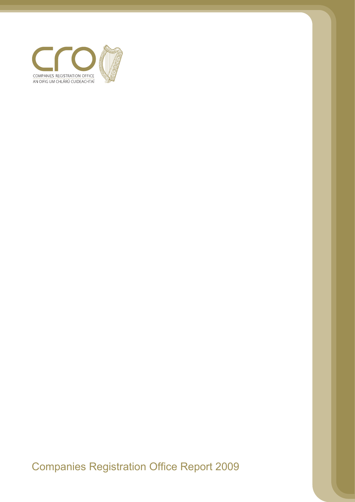

Companies Registration Office Report 2009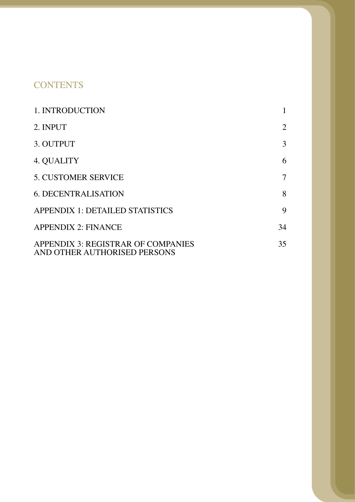# **CONTENTS**

| 1. INTRODUCTION                                                    |    |
|--------------------------------------------------------------------|----|
| 2. INPUT                                                           | 2  |
| 3. OUTPUT                                                          | 3  |
| 4. QUALITY                                                         | 6  |
| <b>5. CUSTOMER SERVICE</b>                                         | 7  |
| <b>6. DECENTRALISATION</b>                                         | 8  |
| <b>APPENDIX 1: DETAILED STATISTICS</b>                             | 9  |
| <b>APPENDIX 2: FINANCE</b>                                         | 34 |
| APPENDIX 3: REGISTRAR OF COMPANIES<br>AND OTHER AUTHORISED PERSONS | 35 |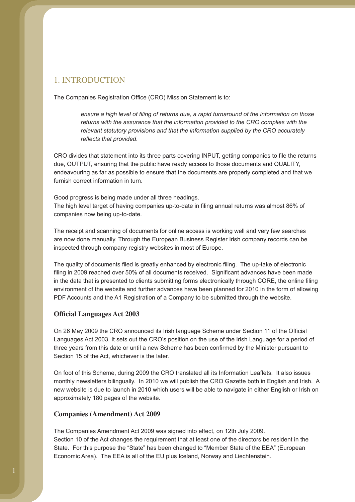## 1. INTRODUCTION

The Companies Registration Office (CRO) Mission Statement is to:

*ensure a high level of filing of returns due, a rapid turnaround of the information on those returns with the assurance that the information provided to the CRO complies with the relevant statutory provisions and that the information supplied by the CRO accurately reflects that provided.*

CRO divides that statement into its three parts covering INPUT, getting companies to file the returns due, OUTPUT, ensuring that the public have ready access to those documents and QUALITY, endeavouring as far as possible to ensure that the documents are properly completed and that we furnish correct information in turn.

Good progress is being made under all three headings. The high level target of having companies up-to-date in filing annual returns was almost 86% of companies now being up-to-date.

The receipt and scanning of documents for online access is working well and very few searches are now done manually. Through the European Business Register Irish company records can be inspected through company registry websites in most of Europe.

The quality of documents filed is greatly enhanced by electronic filing. The up-take of electronic filing in 2009 reached over 50% of all documents received. Significant advances have been made in the data that is presented to clients submitting forms electronically through CORE, the online filing environment of the website and further advances have been planned for 2010 in the form of allowing PDF Accounts and the A1 Registration of a Company to be submitted through the website.

### **Official Languages Act 2003**

On 26 May 2009 the CRO announced its Irish language Scheme under Section 11 of the Official Languages Act 2003. It sets out the CRO's position on the use of the Irish Language for a period of three years from this date or until a new Scheme has been confirmed by the Minister pursuant to Section 15 of the Act, whichever is the later.

On foot of this Scheme, during 2009 the CRO translated all its Information Leaflets. It also issues monthly newsletters bilingually. In 2010 we will publish the CRO Gazette both in English and Irish. A new website is due to launch in 2010 which users will be able to navigate in either English or Irish on approximately 180 pages of the website.

#### **Companies (Amendment) Act 2009**

The Companies Amendment Act 2009 was signed into effect, on 12th July 2009. Section 10 of the Act changes the requirement that at least one of the directors be resident in the State. For this purpose the "State" has been changed to "Member State of the EEA" (European Economic Area). The EEA is all of the EU plus Iceland, Norway and Liechtenstein.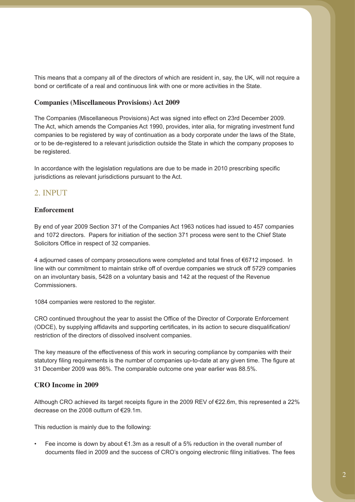This means that a company all of the directors of which are resident in, say, the UK, will not require a bond or certificate of a real and continuous link with one or more activities in the State.

#### **Companies (Miscellaneous Provisions) Act 2009**

The Companies (Miscellaneous Provisions) Act was signed into effect on 23rd December 2009. The Act, which amends the Companies Act 1990, provides, inter alia, for migrating investment fund companies to be registered by way of continuation as a body corporate under the laws of the State, or to be de-registered to a relevant jurisdiction outside the State in which the company proposes to be registered.

In accordance with the legislation regulations are due to be made in 2010 prescribing specific jurisdictions as relevant jurisdictions pursuant to the Act.

### 2. INPUT

### **Enforcement**

By end of year 2009 Section 371 of the Companies Act 1963 notices had issued to 457 companies and 1072 directors. Papers for initiation of the section 371 process were sent to the Chief State Solicitors Office in respect of 32 companies.

4 adjourned cases of company prosecutions were completed and total fines of €6712 imposed. In line with our commitment to maintain strike off of overdue companies we struck off 5729 companies on an involuntary basis, 5428 on a voluntary basis and 142 at the request of the Revenue Commissioners.

1084 companies were restored to the register.

CRO continued throughout the year to assist the Office of the Director of Corporate Enforcement (ODCE), by supplying affidavits and supporting certificates, in its action to secure disqualification/ restriction of the directors of dissolved insolvent companies.

The key measure of the effectiveness of this work in securing compliance by companies with their statutory filing requirements is the number of companies up-to-date at any given time. The figure at 31 December 2009 was 86%. The comparable outcome one year earlier was 88.5%.

#### **CRO Income in 2009**

Although CRO achieved its target receipts figure in the 2009 REV of €22.6m, this represented a 22% decrease on the 2008 outturn of €29.1m.

This reduction is mainly due to the following:

• Fee income is down by about €1.3m as a result of a 5% reduction in the overall number of documents filed in 2009 and the success of CRO's ongoing electronic filing initiatives. The fees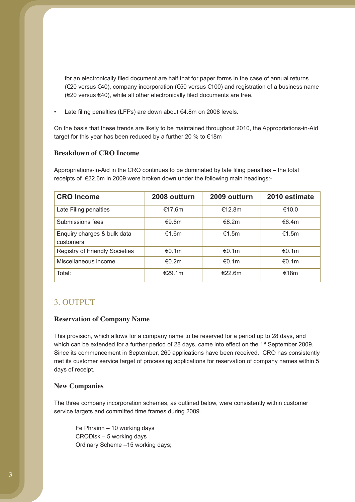for an electronically filed document are half that for paper forms in the case of annual returns (€20 versus €40), company incorporation (€50 versus €100) and registration of a business name (€20 versus €40), while all other electronically filed documents are free.

• Late fili**n**g penalties (LFPs) are down about €4.8m on 2008 levels.

On the basis that these trends are likely to be maintained throughout 2010, the Appropriations-in-Aid target for this year has been reduced by a further 20 % to €18m

### **Breakdown of CRO Income**

Appropriations-in-Aid in the CRO continues to be dominated by late filing penalties – the total receipts of €22.6m in 2009 were broken down under the following main headings:-

| <b>CRO Income</b>                        | 2008 outturn | 2009 outturn | 2010 estimate |
|------------------------------------------|--------------|--------------|---------------|
| Late Filing penalties                    | €17.6m       | €12.8m       | €10.0         |
| Submissions fees                         | €9.6m        | €8.2m        | €6.4m         |
| Enquiry charges & bulk data<br>customers | €1.6m        | €1.5m        | €1.5m         |
| <b>Registry of Friendly Societies</b>    | €0.1m        | €0.1m        | €0.1m         |
| Miscellaneous income                     | €0.2m        | €0.1m        | €0.1m         |
| Total:                                   | €29.1m       | €22.6m       | €18m          |

### 3. OUTPUT

### **Reservation of Company Name**

This provision, which allows for a company name to be reserved for a period up to 28 days, and which can be extended for a further period of 28 days, came into effect on the 1<sup>st</sup> September 2009. Since its commencement in September, 260 applications have been received. CRO has consistently met its customer service target of processing applications for reservation of company names within 5 days of receipt.

#### **New Companies**

The three company incorporation schemes, as outlined below, were consistently within customer service targets and committed time frames during 2009.

 Fe Phráinn – 10 working days CRODisk – 5 working days Ordinary Scheme –15 working days;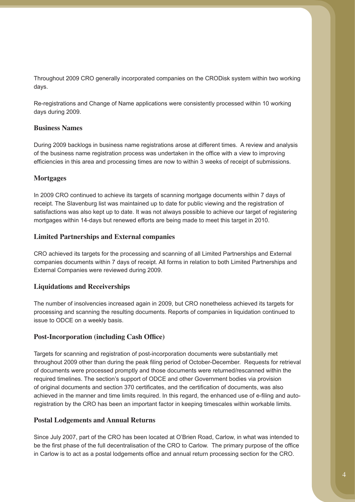Throughout 2009 CRO generally incorporated companies on the CRODisk system within two working days.

Re-registrations and Change of Name applications were consistently processed within 10 working days during 2009.

### **Business Names**

During 2009 backlogs in business name registrations arose at different times. A review and analysis of the business name registration process was undertaken in the office with a view to improving efficiencies in this area and processing times are now to within 3 weeks of receipt of submissions.

### **Mortgages**

In 2009 CRO continued to achieve its targets of scanning mortgage documents within 7 days of receipt. The Slavenburg list was maintained up to date for public viewing and the registration of satisfactions was also kept up to date. It was not always possible to achieve our target of registering mortgages within 14-days but renewed efforts are being made to meet this target in 2010.

### **Limited Partnerships and External companies**

CRO achieved its targets for the processing and scanning of all Limited Partnerships and External companies documents within 7 days of receipt. All forms in relation to both Limited Partnerships and External Companies were reviewed during 2009.

### **Liquidations and Receiverships**

The number of insolvencies increased again in 2009, but CRO nonetheless achieved its targets for processing and scanning the resulting documents. Reports of companies in liquidation continued to issue to ODCE on a weekly basis.

### **Post-Incorporation (including Cash Office)**

Targets for scanning and registration of post-incorporation documents were substantially met throughout 2009 other than during the peak filing period of October-December. Requests for retrieval of documents were processed promptly and those documents were returned/rescanned within the required timelines. The section's support of ODCE and other Government bodies via provision of original documents and section 370 certificates, and the certification of documents, was also achieved in the manner and time limits required. In this regard, the enhanced use of e-filing and autoregistration by the CRO has been an important factor in keeping timescales within workable limits.

#### **Postal Lodgements and Annual Returns**

Since July 2007, part of the CRO has been located at O'Brien Road, Carlow, in what was intended to be the first phase of the full decentralisation of the CRO to Carlow. The primary purpose of the office in Carlow is to act as a postal lodgements office and annual return processing section for the CRO.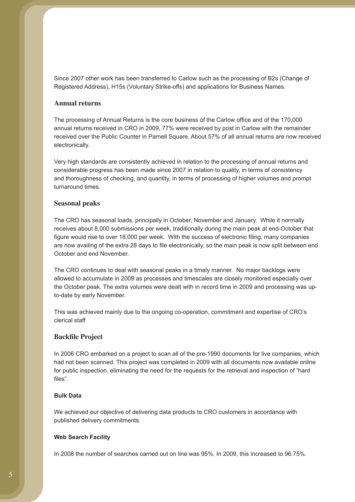Since 2007 other work has been transferred to Carlow such as the processing of B2s (Change of Registered Address), H15s (Voluntary Strike-offs) and applications for Business Names.

### **Annual returns**

The processing of Annual Returns is the core business of the Carlow office and of the 170,000 annual returns received in CRO in 2009, 77% were received by post in Carlow with the remainder received over the Public Counter in Parnell Square. About 57% of all annual returns are now received electronically.

Very high standards are consistently achieved in relation to the processing of annual returns and considerable progress has been made since 2007 in relation to quality, in terms of consistency and thoroughness of checking, and quantity, in terms of processing of higher volumes and prompt turnaround times.

#### **Seasonal peaks**

The CRO has seasonal loads, principally in October, November and January. While it normally receives about 8,000 submissions per week, traditionally during the main peak at end-October that figure would rise to over 18,000 per week. With the success of electronic filing, many companies are now availing of the extra 28 days to file electronically, so the main peak is now split between end October and end November.

The CRO continues to deal with seasonal peaks in a timely manner. No major backlogs were allowed to accumulate in 2009 as processes and timescales are closely monitored especially over the October peak. The extra volumes were dealt with in record time in 2009 and processing was upto-date by early November.

This was achieved mainly due to the ongoing co-operation, commitment and expertise of CRO's clerical staff

### **Backfile Project**

In 2006 CRO embarked on a project to scan all of the pre-1990 documents for live companies, which had not been scanned. This project was completed in 2009 with all documents now available online for public inspection, eliminating the need for the requests for the retrieval and inspection of "hard files".

#### **Bulk Data**

We achieved our objective of delivering data products to CRO customers in accordance with published delivery commitments.

#### **Web Search Facility**

In 2008 the number of searches carried out on line was 95%. In 2009, this increased to 96.75%.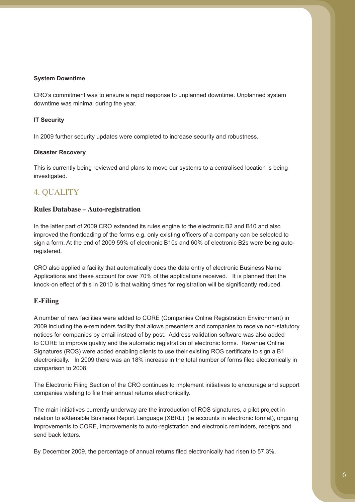#### **System Downtime**

CRO's commitment was to ensure a rapid response to unplanned downtime. Unplanned system downtime was minimal during the year.

### **IT Security**

In 2009 further security updates were completed to increase security and robustness.

#### **Disaster Recovery**

This is currently being reviewed and plans to move our systems to a centralised location is being investigated.

## 4. QUALITY

#### **Rules Database – Auto-registration**

In the latter part of 2009 CRO extended its rules engine to the electronic B2 and B10 and also improved the frontloading of the forms e.g. only existing officers of a company can be selected to sign a form. At the end of 2009 59% of electronic B10s and 60% of electronic B2s were being autoregistered.

CRO also applied a facility that automatically does the data entry of electronic Business Name Applications and these account for over 70% of the applications received. It is planned that the knock-on effect of this in 2010 is that waiting times for registration will be significantly reduced.

#### **E-Filing**

A number of new facilities were added to CORE (Companies Online Registration Environment) in 2009 including the e-reminders facility that allows presenters and companies to receive non-statutory notices for companies by email instead of by post. Address validation software was also added to CORE to improve quality and the automatic registration of electronic forms. Revenue Online Signatures (ROS) were added enabling clients to use their existing ROS certificate to sign a B1 electronically. In 2009 there was an 18% increase in the total number of forms filed electronically in comparison to 2008.

The Electronic Filing Section of the CRO continues to implement initiatives to encourage and support companies wishing to file their annual returns electronically.

The main initiatives currently underway are the introduction of ROS signatures, a pilot project in relation to eXtensible Business Report Language (XBRL) (ie accounts in electronic format), ongoing improvements to CORE, improvements to auto-registration and electronic reminders, receipts and send back letters.

By December 2009, the percentage of annual returns filed electronically had risen to 57.3%.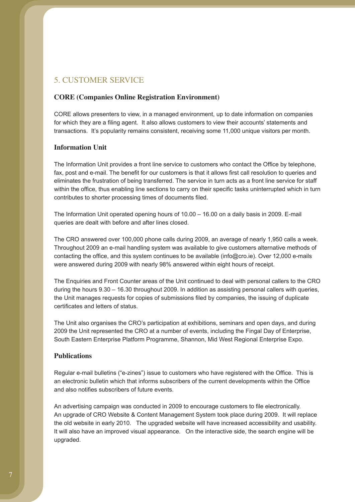## 5. CUSTOMER SERVICE

### **CORE (Companies Online Registration Environment)**

CORE allows presenters to view, in a managed environment, up to date information on companies for which they are a filing agent. It also allows customers to view their accounts' statements and transactions. It's popularity remains consistent, receiving some 11,000 unique visitors per month.

### **Information Unit**

The Information Unit provides a front line service to customers who contact the Office by telephone, fax, post and e-mail. The benefit for our customers is that it allows first call resolution to queries and eliminates the frustration of being transferred. The service in turn acts as a front line service for staff within the office, thus enabling line sections to carry on their specific tasks uninterrupted which in turn contributes to shorter processing times of documents filed.

The Information Unit operated opening hours of 10.00 – 16.00 on a daily basis in 2009. E-mail queries are dealt with before and after lines closed.

The CRO answered over 100,000 phone calls during 2009, an average of nearly 1,950 calls a week. Throughout 2009 an e-mail handling system was available to give customers alternative methods of contacting the office, and this system continues to be available (info@cro.ie). Over 12,000 e-mails were answered during 2009 with nearly 98% answered within eight hours of receipt.

The Enquiries and Front Counter areas of the Unit continued to deal with personal callers to the CRO during the hours 9.30 – 16.30 throughout 2009. In addition as assisting personal callers with queries, the Unit manages requests for copies of submissions filed by companies, the issuing of duplicate certificates and letters of status.

The Unit also organises the CRO's participation at exhibitions, seminars and open days, and during 2009 the Unit represented the CRO at a number of events, including the Fingal Day of Enterprise, South Eastern Enterprise Platform Programme, Shannon, Mid West Regional Enterprise Expo.

### **Publications**

Regular e-mail bulletins ("e-zines") issue to customers who have registered with the Office. This is an electronic bulletin which that informs subscribers of the current developments within the Office and also notifies subscribers of future events.

An advertising campaign was conducted in 2009 to encourage customers to file electronically. An upgrade of CRO Website & Content Management System took place during 2009. It will replace the old website in early 2010. The upgraded website will have increased accessibility and usability. It will also have an improved visual appearance. On the interactive side, the search engine will be upgraded.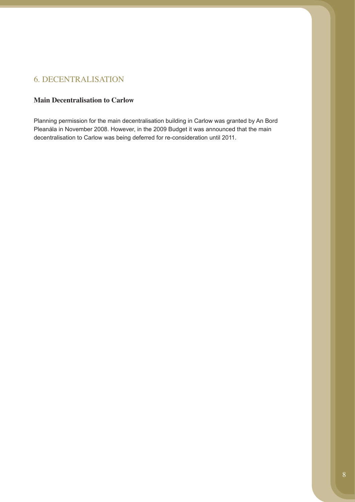## 6. DECENTRALISATION

### **Main Decentralisation to Carlow**

Planning permission for the main decentralisation building in Carlow was granted by An Bord Pleanála in November 2008. However, in the 2009 Budget it was announced that the main decentralisation to Carlow was being deferred for re-consideration until 2011.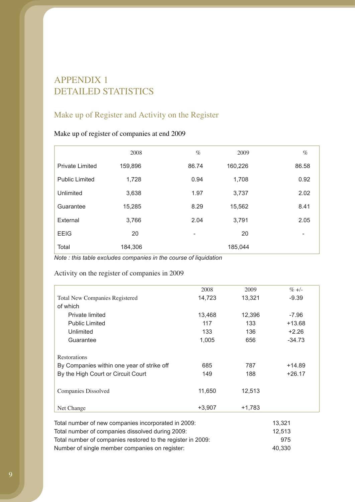# APPENDIX 1 DETAILED STATISTICS

# Make up of Register and Activity on the Register

### Make up of register of companies at end 2009

|                        | 2008    | $\%$  | 2009    | $\%$  |
|------------------------|---------|-------|---------|-------|
| <b>Private Limited</b> | 159,896 | 86.74 | 160,226 | 86.58 |
| <b>Public Limited</b>  | 1,728   | 0.94  | 1,708   | 0.92  |
| Unlimited              | 3,638   | 1.97  | 3,737   | 2.02  |
| Guarantee              | 15,285  | 8.29  | 15,562  | 8.41  |
| External               | 3,766   | 2.04  | 3,791   | 2.05  |
| <b>EEIG</b>            | 20      | -     | 20      | -     |
| Total                  | 184,306 |       | 185,044 |       |

*Note : this table excludes companies in the course of liquidation*

## Activity on the register of companies in 2009

| 2008     | 2009     | $\%$ +/- |
|----------|----------|----------|
| 14,723   | 13,321   | $-9.39$  |
|          |          |          |
| 13,468   | 12,396   | $-7.96$  |
| 117      | 133      | $+13.68$ |
| 133      | 136      | $+2.26$  |
| 1,005    | 656      | $-34.73$ |
|          |          |          |
|          |          |          |
| 685      | 787      | $+14.89$ |
| 149      | 188      | $+26.17$ |
|          |          |          |
| 11,650   | 12,513   |          |
|          |          |          |
| $+3,907$ | $+1,783$ |          |
|          |          |          |

| Total number of new companies incorporated in 2009:         | 13.321 |
|-------------------------------------------------------------|--------|
| Total number of companies dissolved during 2009:            | 12.513 |
| Total number of companies restored to the register in 2009: | 975    |
| Number of single member companies on register:              | 40.330 |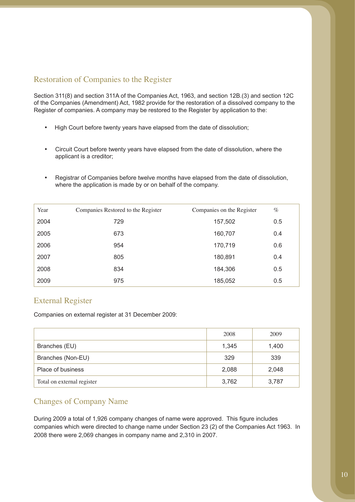## Restoration of Companies to the Register

Section 311(8) and section 311A of the Companies Act, 1963, and section 12B.(3) and section 12C of the Companies (Amendment) Act, 1982 provide for the restoration of a dissolved company to the Register of companies. A company may be restored to the Register by application to the:

- High Court before twenty years have elapsed from the date of dissolution;
- Circuit Court before twenty years have elapsed from the date of dissolution, where the applicant is a creditor;
- Registrar of Companies before twelve months have elapsed from the date of dissolution, where the application is made by or on behalf of the company.

| Year | Companies Restored to the Register | Companies on the Register | $\%$ |
|------|------------------------------------|---------------------------|------|
| 2004 | 729                                | 157,502                   | 0.5  |
| 2005 | 673                                | 160,707                   | 0.4  |
| 2006 | 954                                | 170,719                   | 0.6  |
| 2007 | 805                                | 180,891                   | 0.4  |
| 2008 | 834                                | 184,306                   | 0.5  |
| 2009 | 975                                | 185,052                   | 0.5  |

## External Register

Companies on external register at 31 December 2009:

|                            | 2008  | 2009  |
|----------------------------|-------|-------|
| Branches (EU)              | 1,345 | 1,400 |
| Branches (Non-EU)          | 329   | 339   |
| Place of business          | 2,088 | 2,048 |
| Total on external register | 3,762 | 3,787 |

### Changes of Company Name

During 2009 a total of 1,926 company changes of name were approved. This figure includes companies which were directed to change name under Section 23 (2) of the Companies Act 1963. In 2008 there were 2,069 changes in company name and 2,310 in 2007.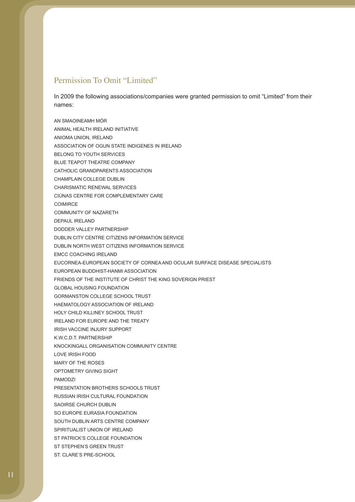### Permission To Omit "Limited"

In 2009 the following associations/companies were granted permission to omit "Limited" from their names:

AN SMAOINEAMH MÓR ANIMAL HEALTH IRELAND INITIATIVE ANIOMA UNION, IRELAND ASSOCIATION OF OGUN STATE INDIGENES IN IRELAND BELONG TO YOUTH SERVICES BLUE TEAPOT THEATRE COMPANY CATHOLIC GRANDPARENTS ASSOCIATION CHAMPLAIN COLLEGE DUBLIN CHARISMATIC RENEWAL SERVICES CIÚNAS CENTRE FOR COMPLEMENTARY CARE COIMIRCE COMMUNITY OF NAZARETH DEPAUL IRELAND DODDER VALLEY PARTNERSHIP DUBLIN CITY CENTRE CITIZENS INFORMATION SERVICE DUBLIN NORTH WEST CITIZENS INFORMATION SERVICE EMCC COACHING IRELAND EUCORNEA-EUROPEAN SOCIETY OF CORNEA AND OCULAR SURFACE DISEASE SPECIALISTS EUROPEAN BUDDHIST-HANMI ASSOCIATION FRIENDS OF THE INSTITUTE OF CHRIST THE KING SOVERIGN PRIEST GLOBAL HOUSING FOUNDATION GORMANSTON COLLEGE SCHOOL TRUST HAEMATOLOGY ASSOCIATION OF IRELAND HOLY CHILD KILLINEY SCHOOL TRUST IRELAND FOR EUROPE AND THE TREATY IRISH VACCINE INJURY SUPPORT K.W.C.D.T. PARTNERSHIP KNOCKINGALL ORGANISATION COMMUNITY CENTRE LOVE IRISH FOOD MARY OF THE ROSES OPTOMETRY GIVING SIGHT PAMODZI PRESENTATION BROTHERS SCHOOLS TRUST RUSSIAN IRISH CULTURAL FOUNDATION SAOIRSE CHURCH DUBLIN SO EUROPE EURASIA FOUNDATION SOUTH DUBLIN ARTS CENTRE COMPANY SPIRITUALIST UNION OF IRELAND ST PATRICK'S COLLEGE FOUNDATION ST STEPHEN'S GREEN TRUST ST. CLARE'S PRE-SCHOOL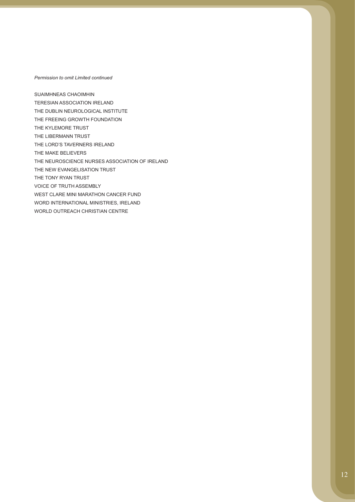#### *Permission to omit Limited continued*

SUAIMHNEAS CHAOIMHIN TERESIAN ASSOCIATION IRELAND THE DUBLIN NEUROLOGICAL INSTITUTE THE FREEING GROWTH FOUNDATION THE KYLEMORE TRUST THE LIBERMANN TRUST THE LORD'S TAVERNERS IRELAND THE MAKE BELIEVERS THE NEUROSCIENCE NURSES ASSOCIATION OF IRELAND THE NEW EVANGELISATION TRUST THE TONY RYAN TRUST VOICE OF TRUTH ASSEMBLY WEST CLARE MINI MARATHON CANCER FUND WORD INTERNATIONAL MINISTRIES, IRELAND WORLD OUTREACH CHRISTIAN CENTRE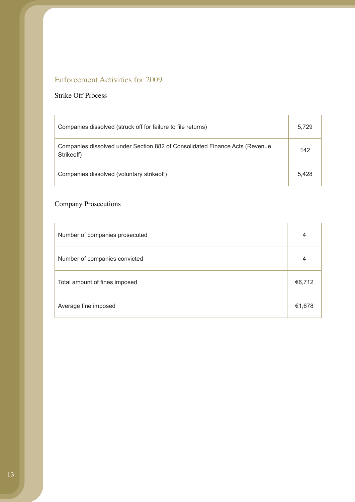# Enforcement Activities for 2009

### Strike Off Process

| Companies dissolved (struck off for failure to file returns)                              | 5,729 |
|-------------------------------------------------------------------------------------------|-------|
| Companies dissolved under Section 882 of Consolidated Finance Acts (Revenue<br>Strikeoff) | 142   |
| Companies dissolved (voluntary strikeoff)                                                 | 5.428 |

# Company Prosecutions

| Number of companies prosecuted | 4      |
|--------------------------------|--------|
| Number of companies convicted  | 4      |
| Total amount of fines imposed  | €6,712 |
| Average fine imposed           | €1,678 |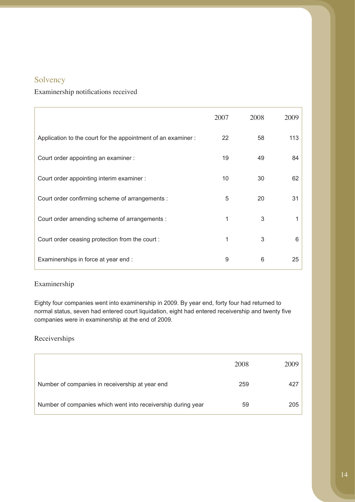## Solvency

### Examinership notifications received

|                                                              | 2007 | 2008 | 2009 |
|--------------------------------------------------------------|------|------|------|
| Application to the court for the appointment of an examiner: | 22   | 58   | 113  |
| Court order appointing an examiner :                         | 19   | 49   | 84   |
| Court order appointing interim examiner :                    | 10   | 30   | 62   |
| Court order confirming scheme of arrangements :              | 5    | 20   | 31   |
| Court order amending scheme of arrangements :                | 1    | 3    |      |
| Court order ceasing protection from the court:               | 1    | 3    | 6    |
| Examinerships in force at year end :                         | 9    | 6    | 25   |

### Examinership

Eighty four companies went into examinership in 2009. By year end, forty four had returned to normal status, seven had entered court liquidation, eight had entered receivership and twenty five companies were in examinership at the end of 2009.

### Receiverships

|                                                              | 2008 | 2009 |
|--------------------------------------------------------------|------|------|
| Number of companies in receivership at year end              | 259  | 427  |
| Number of companies which went into receivership during year | 59   | 205  |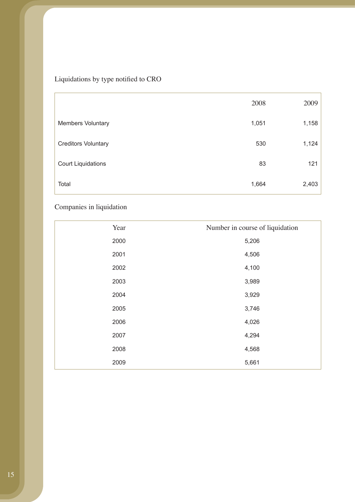# Liquidations by type notified to CRO

|                            | 2008  | 2009  |
|----------------------------|-------|-------|
| <b>Members Voluntary</b>   | 1,051 | 1,158 |
| <b>Creditors Voluntary</b> | 530   | 1,124 |
| <b>Court Liquidations</b>  | 83    | 121   |
| Total                      | 1,664 | 2,403 |

# Companies in liquidation

| Year | Number in course of liquidation |
|------|---------------------------------|
| 2000 | 5,206                           |
| 2001 | 4,506                           |
| 2002 | 4,100                           |
| 2003 | 3,989                           |
| 2004 | 3,929                           |
| 2005 | 3,746                           |
| 2006 | 4,026                           |
| 2007 | 4,294                           |
| 2008 | 4,568                           |
| 2009 | 5,661                           |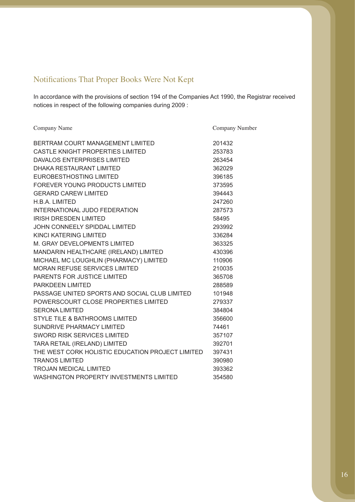# Notifications That Proper Books Were Not Kept

In accordance with the provisions of section 194 of the Companies Act 1990, the Registrar received notices in respect of the following companies during 2009 :

| Company Name                                     | Company Number |
|--------------------------------------------------|----------------|
| BERTRAM COURT MANAGEMENT LIMITED                 | 201432         |
| CASTLE KNIGHT PROPERTIES LIMITED                 | 253783         |
| <b>DAVALOS ENTERPRISES LIMITED</b>               | 263454         |
| <b>DHAKA RESTAURANT LIMITED</b>                  | 362029         |
| EUROBESTHOSTING LIMITED                          | 396185         |
| FOREVER YOUNG PRODUCTS LIMITED                   | 373595         |
| <b>GERARD CAREW LIMITED</b>                      | 394443         |
| H.B.A. LIMITED                                   | 247260         |
| INTERNATIONAL JUDO FEDERATION                    | 287573         |
| <b>IRISH DRESDEN LIMITED</b>                     | 58495          |
| JOHN CONNEELY SPIDDAL LIMITED                    | 293992         |
| KINCI KATERING LIMITED                           | 336284         |
| M. GRAY DEVELOPMENTS LIMITED                     | 363325         |
| MANDARIN HEALTHCARE (IRELAND) LIMITED            | 430396         |
| MICHAEL MC LOUGHLIN (PHARMACY) LIMITED           | 110906         |
| <b>MORAN REFUSE SERVICES LIMITED</b>             | 210035         |
| PARENTS FOR JUSTICE LIMITED                      | 365708         |
| PARKDEEN LIMITED                                 | 288589         |
| PASSAGE UNITED SPORTS AND SOCIAL CLUB LIMITED    | 101948         |
| POWERSCOURT CLOSE PROPERTIES LIMITED             | 279337         |
| <b>SERONA LIMITED</b>                            | 384804         |
| <b>STYLE TILE &amp; BATHROOMS LIMITED</b>        | 356600         |
| <b>SUNDRIVE PHARMACY LIMITED</b>                 | 74461          |
| <b>SWORD RISK SERVICES LIMITED</b>               | 357107         |
| TARA RETAIL (IRELAND) LIMITED                    | 392701         |
| THE WEST CORK HOLISTIC EDUCATION PROJECT LIMITED | 397431         |
| <b>TRANOS LIMITED</b>                            | 390980         |
| <b>TROJAN MEDICAL LIMITED</b>                    | 393362         |
| <b>WASHINGTON PROPERTY INVESTMENTS LIMITED</b>   | 354580         |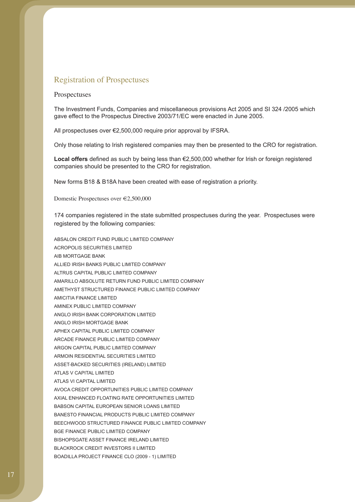### Registration of Prospectuses

#### Prospectuses

The Investment Funds, Companies and miscellaneous provisions Act 2005 and SI 324 /2005 which gave effect to the Prospectus Directive 2003/71/EC were enacted in June 2005.

All prospectuses over €2,500,000 require prior approval by IFSRA.

Only those relating to Irish registered companies may then be presented to the CRO for registration.

**Local offers** defined as such by being less than €2,500,000 whether for Irish or foreign registered companies should be presented to the CRO for registration.

New forms B18 & B18A have been created with ease of registration a priority.

Domestic Prospectuses over €2,500,000

174 companies registered in the state submitted prospectuses during the year. Prospectuses were registered by the following companies:

ABSALON CREDIT FUND PUBLIC LIMITED COMPANY ACROPOLIS SECURITIES LIMITED AIB MORTGAGE BANK ALLIED IRISH BANKS PUBLIC LIMITED COMPANY ALTRUS CAPITAL PUBLIC LIMITED COMPANY AMARILLO ABSOLUTE RETURN FUND PUBLIC LIMITED COMPANY AMETHYST STRUCTURED FINANCE PUBLIC LIMITED COMPANY AMICITIA FINANCE LIMITED AMINEX PUBLIC LIMITED COMPANY ANGLO IRISH BANK CORPORATION LIMITED ANGLO IRISH MORTGAGE BANK APHEX CAPITAL PUBLIC LIMITED COMPANY ARCADE FINANCE PUBLIC LIMITED COMPANY ARGON CAPITAL PUBLIC LIMITED COMPANY ARMOIN RESIDENTIAL SECURITIES LIMITED ASSET-BACKED SECURITIES (IRELAND) LIMITED ATLAS V CAPITAL LIMITED ATLAS VI CAPITAL LIMITED AVOCA CREDIT OPPORTUNITIES PUBLIC LIMITED COMPANY AXIAL ENHANCED FLOATING RATE OPPORTUNITIES LIMITED BABSON CAPITAL EUROPEAN SENIOR LOANS LIMITED BANESTO FINANCIAL PRODUCTS PUBLIC LIMITED COMPANY BEECHWOOD STRUCTURED FINANCE PUBLIC LIMITED COMPANY BGE FINANCE PUBLIC LIMITED COMPANY BISHOPSGATE ASSET FINANCE IRELAND LIMITED BLACKROCK CREDIT INVESTORS II LIMITED BOADILLA PROJECT FINANCE CLO (2009 - 1) LIMITED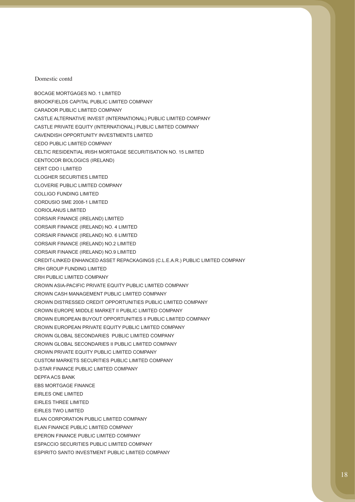BOCAGE MORTGAGES NO. 1 LIMITED

BROOKFIELDS CAPITAL PUBLIC LIMITED COMPANY

- CARADOR PUBLIC LIMITED COMPANY CASTLE ALTERNATIVE INVEST (INTERNATIONAL) PUBLIC LIMITED COMPANY CASTLE PRIVATE EQUITY (INTERNATIONAL) PUBLIC LIMITED COMPANY CAVENDISH OPPORTUNITY INVESTMENTS LIMITED CEDO PUBLIC LIMITED COMPANY CELTIC RESIDENTIAL IRISH MORTGAGE SECURITISATION NO. 15 LIMITED CENTOCOR BIOLOGICS (IRELAND) CERT CDO I LIMITED CLOGHER SECURITIES LIMITED CLOVERIE PUBLIC LIMITED COMPANY COLLIGO FUNDING LIMITED CORDUSIO SME 2008-1 LIMITED CORIOLANUS LIMITED CORSAIR FINANCE (IRELAND) LIMITED CORSAIR FINANCE (IRELAND) NO. 4 LIMITED CORSAIR FINANCE (IRELAND) NO. 6 LIMITED CORSAIR FINANCE (IRELAND) NO.2 LIMITED CORSAIR FINANCE (IRELAND) NO.9 LIMITED CREDIT-LINKED ENHANCED ASSET REPACKAGINGS (C.L.E.A.R.) PUBLIC LIMITED COMPANY CRH GROUP FUNDING LIMITED CRH PUBLIC LIMITED COMPANY CROWN ASIA-PACIFIC PRIVATE EQUITY PUBLIC LIMITED COMPANY CROWN CASH MANAGEMENT PUBLIC LIMITED COMPANY CROWN DISTRESSED CREDIT OPPORTUNITIES PUBLIC LIMITED COMPANY CROWN EUROPE MIDDLE MARKET II PUBLIC LIMITED COMPANY CROWN EUROPEAN BUYOUT OPPORTUNITIES II PUBLIC LIMITED COMPANY CROWN EUROPEAN PRIVATE EQUITY PUBLIC LIMITED COMPANY CROWN GLOBAL SECONDARIES PUBLIC LIMITED COMPANY CROWN GLOBAL SECONDARIES II PUBLIC LIMITED COMPANY CROWN PRIVATE EQUITY PUBLIC LIMITED COMPANY CUSTOM MARKETS SECURITIES PUBLIC LIMITED COMPANY D-STAR FINANCE PUBLIC LIMITED COMPANY DEPFA ACS BANK EBS MORTGAGE FINANCE EIRLES ONE LIMITED EIRLES THREE LIMITED EIRLES TWO LIMITED ELAN CORPORATION PUBLIC LIMITED COMPANY ELAN FINANCE PUBLIC LIMITED COMPANY EPERON FINANCE PUBLIC LIMITED COMPANY ESPACCIO SECURITIES PUBLIC LIMITED COMPANY
- ESPIRITO SANTO INVESTMENT PUBLIC LIMITED COMPANY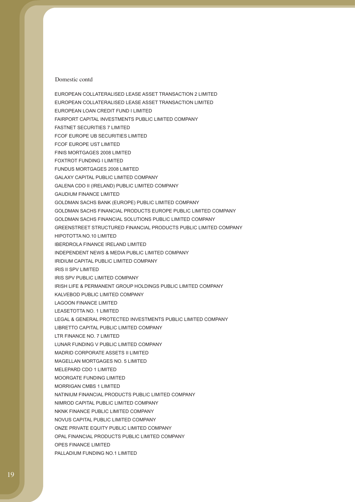EUROPEAN COLLATERALISED LEASE ASSET TRANSACTION 2 LIMITED EUROPEAN COLLATERALISED LEASE ASSET TRANSACTION LIMITED EUROPEAN LOAN CREDIT FUND I LIMITED FAIRPORT CAPITAL INVESTMENTS PUBLIC LIMITED COMPANY FASTNET SECURITIES 7 LIMITED FCOF EUROPE UB SECURITIES LIMITED FCOF EUROPE UST LIMITED FINIS MORTGAGES 2008 LIMITED FOXTROT FUNDING I LIMITED FUNDUS MORTGAGES 2008 LIMITED GALAXY CAPITAL PUBLIC LIMITED COMPANY GALENA CDO II (IRELAND) PUBLIC LIMITED COMPANY GAUDIUM FINANCE LIMITED GOLDMAN SACHS BANK (EUROPE) PUBLIC LIMITED COMPANY GOLDMAN SACHS FINANCIAL PRODUCTS EUROPE PUBLIC LIMITED COMPANY GOLDMAN SACHS FINANCIAL SOLUTIONS PUBLIC LIMITED COMPANY GREENSTREET STRUCTURED FINANCIAL PRODUCTS PUBLIC LIMITED COMPANY HIPOTOTTA NO.10 LIMITED IBERDROLA FINANCE IRELAND LIMITED INDEPENDENT NEWS & MEDIA PUBLIC LIMITED COMPANY IRIDIUM CAPITAL PUBLIC LIMITED COMPANY IRIS II SPV LIMITED IRIS SPV PUBLIC LIMITED COMPANY IRISH LIFE & PERMANENT GROUP HOLDINGS PUBLIC LIMITED COMPANY KALVEBOD PUBLIC LIMITED COMPANY LAGOON FINANCE LIMITED LEASETOTTA NO. 1 LIMITED LEGAL & GENERAL PROTECTED INVESTMENTS PUBLIC LIMITED COMPANY LIBRETTO CAPITAL PUBLIC LIMITED COMPANY LTR FINANCE NO. 7 LIMITED LUNAR FUNDING V PUBLIC LIMITED COMPANY MADRID CORPORATE ASSETS II LIMITED MAGELLAN MORTGAGES NO. 5 LIMITED MELEPARD CDO 1 LIMITED MOORGATE FUNDING LIMITED MORRIGAN CMBS 1 LIMITED NATINIUM FINANCIAL PRODUCTS PUBLIC LIMITED COMPANY NIMROD CAPITAL PUBLIC LIMITED COMPANY NKNK FINANCE PUBLIC LIMITED COMPANY NOVUS CAPITAL PUBLIC LIMITED COMPANY ONZE PRIVATE EQUITY PUBLIC LIMITED COMPANY OPAL FINANCIAL PRODUCTS PUBLIC LIMITED COMPANY OPES FINANCE LIMITED PALLADIUM FUNDING NO.1 LIMITED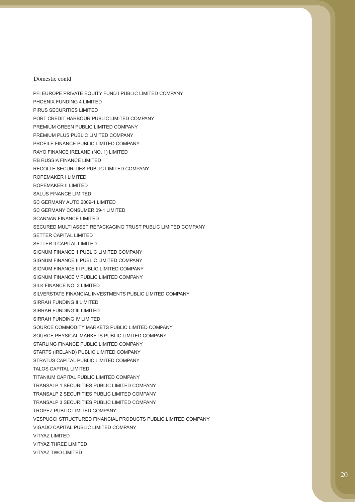PFI EUROPE PRIVATE EQUITY FUND I PUBLIC LIMITED COMPANY PHOENIX FUNDING 4 LIMITED PIRUS SECURITIES LIMITED PORT CREDIT HARBOUR PUBLIC LIMITED COMPANY PREMIUM GREEN PUBLIC LIMITED COMPANY PREMIUM PLUS PUBLIC LIMITED COMPANY PROFILE FINANCE PUBLIC LIMITED COMPANY RAYO FINANCE IRELAND (NO. 1) LIMITED RB RUSSIA FINANCE LIMITED RECOLTE SECURITIES PUBLIC LIMITED COMPANY ROPEMAKER I LIMITED ROPEMAKER II LIMITED SALUS FINANCE LIMITED SC GERMANY AUTO 2009-1 LIMITED SC GERMANY CONSUMER 09-1 LIMITED SCANNAN FINANCE LIMITED SECURED MULTI ASSET REPACKAGING TRUST PUBLIC LIMITED COMPANY SETTER CAPITAL LIMITED SETTER II CAPITAL LIMITED SIGNUM FINANCE 1 PUBLIC LIMITED COMPANY SIGNUM FINANCE II PUBLIC LIMITED COMPANY SIGNUM FINANCE III PUBLIC LIMITED COMPANY SIGNUM FINANCE V PUBLIC LIMITED COMPANY SILK FINANCE NO. 3 LIMITED SILVERSTATE FINANCIAL INVESTMENTS PUBLIC LIMITED COMPANY SIRRAH FUNDING II LIMITED SIRRAH FUNDING III LIMITED SIRRAH FUNDING IV LIMITED SOURCE COMMODITY MARKETS PUBLIC LIMITED COMPANY SOURCE PHYSICAL MARKETS PUBLIC LIMITED COMPANY STARLING FINANCE PUBLIC LIMITED COMPANY STARTS (IRELAND) PUBLIC LIMITED COMPANY STRATUS CAPITAL PUBLIC LIMITED COMPANY TALOS CAPITAL LIMITED TITANIUM CAPITAL PUBLIC LIMITED COMPANY TRANSALP 1 SECURITIES PUBLIC LIMITED COMPANY TRANSALP 2 SECURITIES PUBLIC LIMITED COMPANY TRANSALP 3 SECURITIES PUBLIC LIMITED COMPANY TROPEZ PUBLIC LIMITED COMPANY VESPUCCI STRUCTURED FINANCIAL PRODUCTS PUBLIC LIMITED COMPANY VIGADO CAPITAL PUBLIC LIMITED COMPANY VITYAZ LIMITED VITYAZ THREE LIMITED VITYAZ TWO LIMITED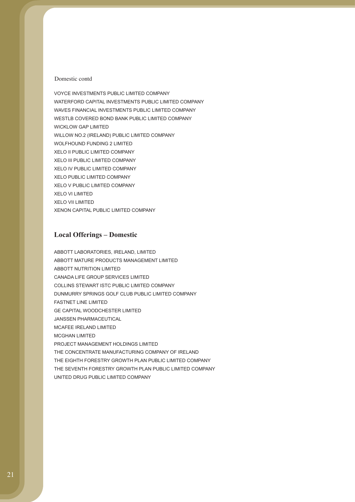VOYCE INVESTMENTS PUBLIC LIMITED COMPANY WATERFORD CAPITAL INVESTMENTS PUBLIC LIMITED COMPANY WAVES FINANCIAL INVESTMENTS PUBLIC LIMITED COMPANY WESTLB COVERED BOND BANK PUBLIC LIMITED COMPANY WICKLOW GAP LIMITED WILLOW NO.2 (IRELAND) PUBLIC LIMITED COMPANY WOLFHOUND FUNDING 2 LIMITED XELO II PUBLIC LIMITED COMPANY XELO III PUBLIC LIMITED COMPANY XELO IV PUBLIC LIMITED COMPANY XELO PUBLIC LIMITED COMPANY XELO V PUBLIC LIMITED COMPANY XELO VI LIMITED XELO VII LIMITED XENON CAPITAL PUBLIC LIMITED COMPANY

### **Local Offerings – Domestic**

ABBOTT LABORATORIES, IRELAND, LIMITED ABBOTT MATURE PRODUCTS MANAGEMENT LIMITED ABBOTT NUTRITION LIMITED CANADA LIFE GROUP SERVICES LIMITED COLLINS STEWART ISTC PUBLIC LIMITED COMPANY DUNMURRY SPRINGS GOLF CLUB PUBLIC LIMITED COMPANY FASTNET LINE LIMITED GE CAPITAL WOODCHESTER LIMITED JANSSEN PHARMACEUTICAL MCAFEE IRELAND LIMITED MCGHAN LIMITED PROJECT MANAGEMENT HOLDINGS LIMITED THE CONCENTRATE MANUFACTURING COMPANY OF IRELAND THE EIGHTH FORESTRY GROWTH PLAN PUBLIC LIMITED COMPANY THE SEVENTH FORESTRY GROWTH PLAN PUBLIC LIMITED COMPANY UNITED DRUG PUBLIC LIMITED COMPANY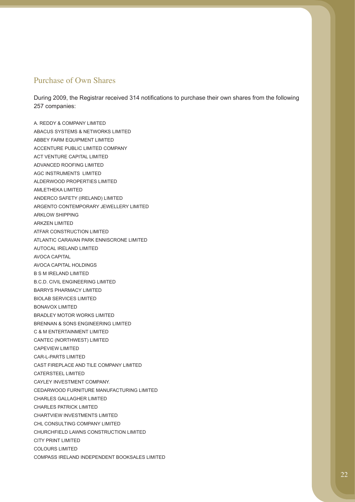### Purchase of Own Shares

During 2009, the Registrar received 314 notifications to purchase their own shares from the following 257 companies:

A. REDDY & COMPANY LIMITED ABACUS SYSTEMS & NETWORKS LIMITED ABBEY FARM EQUIPMENT LIMITED ACCENTURE PUBLIC LIMITED COMPANY ACT VENTURE CAPITAL LIMITED ADVANCED ROOFING LIMITED AGC INSTRUMENTS LIMITED ALDERWOOD PROPERTIES LIMITED AMLETHEKA LIMITED ANDERCO SAFETY (IRELAND) LIMITED ARGENTO CONTEMPORARY JEWELLERY LIMITED ARKLOW SHIPPING ARKZEN LIMITED ATFAR CONSTRUCTION LIMITED ATLANTIC CARAVAN PARK ENNISCRONE LIMITED AUTOCAL IRELAND LIMITED AVOCA CAPITAL AVOCA CAPITAL HOLDINGS B S M IRELAND LIMITED B.C.D. CIVIL ENGINEERING LIMITED BARRYS PHARMACY LIMITED BIOLAB SERVICES LIMITED BONAVOX LIMITED BRADLEY MOTOR WORKS LIMITED BRENNAN & SONS ENGINEERING LIMITED C & M ENTERTAINMENT LIMITED CANTEC (NORTHWEST) LIMITED CAPEVIEW LIMITED CAR-L-PARTS LIMITED CAST FIREPLACE AND TILE COMPANY LIMITED CATERSTEEL LIMITED CAYLEY INVESTMENT COMPANY. CEDARWOOD FURNITURE MANUFACTURING LIMITED CHARLES GALLAGHER LIMITED CHARLES PATRICK LIMITED CHARTVIEW INVESTMENTS LIMITED CHL CONSULTING COMPANY LIMITED CHURCHFIELD LAWNS CONSTRUCTION LIMITED CITY PRINT LIMITED COLOURS LIMITED COMPASS IRELAND INDEPENDENT BOOKSALES LIMITED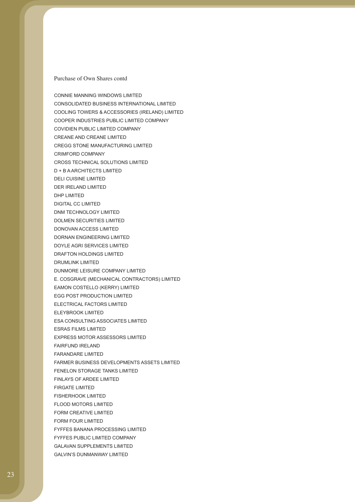CONNIE MANNING WINDOWS LIMITED CONSOLIDATED BUSINESS INTERNATIONAL LIMITED COOLING TOWERS & ACCESSORIES (IRELAND) LIMITED COOPER INDUSTRIES PUBLIC LIMITED COMPANY COVIDIEN PUBLIC LIMITED COMPANY CREANE AND CREANE LIMITED CREGG STONE MANUFACTURING LIMITED CRIMFORD COMPANY CROSS TECHNICAL SOLUTIONS LIMITED D + B A ARCHITECTS LIMITED DELI CUISINE LIMITED DER IRELAND LIMITED DHP LIMITED DIGITAL CC LIMITED DNM TECHNOLOGY LIMITED DOLMEN SECURITIES LIMITED DONOVAN ACCESS LIMITED DORNAN ENGINEERING LIMITED DOYLE AGRI SERVICES LIMITED DRAFTON HOLDINGS LIMITED DRUMLINK LIMITED DUNMORE LEISURE COMPANY LIMITED E. COSGRAVE (MECHANICAL CONTRACTORS) LIMITED EAMON COSTELLO (KERRY) LIMITED EGG POST PRODUCTION LIMITED ELECTRICAL FACTORS LIMITED ELEYBROOK LIMITED ESA CONSULTING ASSOCIATES LIMITED ESRAS FILMS LIMITED EXPRESS MOTOR ASSESSORS LIMITED FAIRFUND IRELAND FARANDARE LIMITED FARMER BUSINESS DEVELOPMENTS ASSETS LIMITED FENELON STORAGE TANKS LIMITED FINLAYS OF ARDEE LIMITED FIRGATE LIMITED FISHERHOOK LIMITED FLOOD MOTORS LIMITED FORM CREATIVE LIMITED FORM FOUR LIMITED FYFFES BANANA PROCESSING LIMITED FYFFES PUBLIC LIMITED COMPANY GALAVAN SUPPLEMENTS LIMITED GALVIN'S DUNMANWAY LIMITED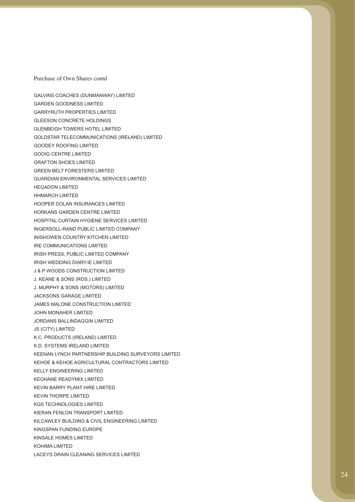GALVINS COACHES (DUNMANWAY) LIMITED GARDEN GOODNESS LIMITED GARRYRUTH PROPERTIES LIMITED GLEESON CONCRETE HOLDINGS GLENBEIGH TOWERS HOTEL LIMITED GOLDSTAR TELECOMMUNICATIONS (IRELAND) LIMITED GOODEY ROOFING LIMITED GOOIG CENTRE LIMITED GRAFTON SHOES LIMITED GREEN BELT FORESTERS LIMITED GUARDIAN ENVIRONMENTAL SERVICES LIMITED HEGADON LIMITED HHMARCH LIMITED HOOPER DOLAN INSURANCES LIMITED HORKANS GARDEN CENTRE LIMITED HOSPITAL CURTAIN HYGIENE SERVICES LIMITED INGERSOLL-RAND PUBLIC LIMITED COMPANY INISHOWEN COUNTRY KITCHEN LIMITED IRE COMMUNICATIONS LIMITED IRISH PRESS, PUBLIC LIMITED COMPANY IRISH WEDDING DIARY.IE LIMITED J & P WOODS CONSTRUCTION LIMITED J. KEANE & SONS (ROS.) LIMITED J. MURPHY & SONS (MOTORS) LIMITED JACKSONS GARAGE LIMITED JAMES MALONE CONSTRUCTION LIMITED JOHN MONAHER LIMITED JORDANS BALLINDAGGIN LIMITED JS (CITY) LIMITED K.C. PRODUCTS (IRELAND) LIMITED K.D. SYSTEMS IRELAND LIMITED KEENAN LYNCH PARTNERSHIP BUILDING SURVEYORS LIMITED KEHOE & KEHOE AGRICULTURAL CONTRACTORS LIMITED KELLY ENGINEERING LIMITED KEOHANE READYMIX LIMITED KEVIN BARRY PLANT HIRE LIMITED KEVIN THORPE LIMITED KGS TECHNOLOGIES LIMITED KIERAN FENLON TRANSPORT LIMITED KILCAWLEY BUILDING & CIVIL ENGINEERING LIMITED KINGSPAN FUNDING EUROPE KINSALE HOMES LIMITED KOHIMA LIMITED LACEYS DRAIN CLEANING SERVICES LIMITED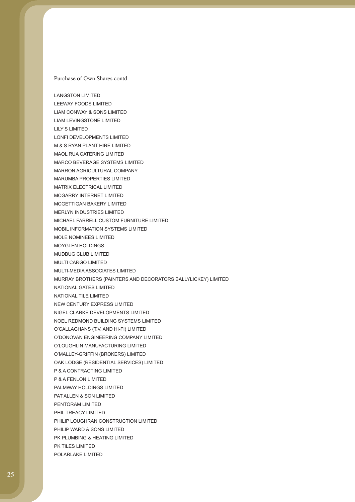LANGSTON LIMITED LEEWAY FOODS LIMITED LIAM CONWAY & SONS LIMITED LIAM LEVINGSTONE LIMITED LILY'S LIMITED LONFI DEVELOPMENTS LIMITED M & S RYAN PLANT HIRE LIMITED MAOL RUA CATERING LIMITED MARCO BEVERAGE SYSTEMS LIMITED MARRON AGRICULTURAL COMPANY MARUMBA PROPERTIES LIMITED MATRIX ELECTRICAL LIMITED MCGARRY INTERNET LIMITED MCGETTIGAN BAKERY LIMITED MERLYN INDUSTRIES LIMITED MICHAEL FARRELL CUSTOM FURNITURE LIMITED MOBIL INFORMATION SYSTEMS LIMITED MOLE NOMINEES LIMITED MOYGLEN HOLDINGS MUDBUG CLUB LIMITED MULTI CARGO LIMITED MULTI-MEDIA ASSOCIATES LIMITED MURRAY BROTHERS (PAINTERS AND DECORATORS BALLYLICKEY) LIMITED NATIONAL GATES LIMITED NATIONAL TILE LIMITED NEW CENTURY EXPRESS LIMITED NIGEL CLARKE DEVELOPMENTS LIMITED NOEL REDMOND BUILDING SYSTEMS LIMITED O'CALLAGHANS (T.V. AND HI-FI) LIMITED O'DONOVAN ENGINEERING COMPANY LIMITED O'LOUGHLIN MANUFACTURING LIMITED O'MALLEY-GRIFFIN (BROKERS) LIMITED OAK LODGE (RESIDENTIAL SERVICES) LIMITED P & A CONTRACTING LIMITED P & A FENLON LIMITED PALMWAY HOLDINGS LIMITED PAT ALLEN & SON LIMITED PENTORAM LIMITED PHIL TREACY LIMITED PHILIP LOUGHRAN CONSTRUCTION LIMITED PHILIP WARD & SONS LIMITED PK PLUMBING & HEATING LIMITED PK TILES LIMITED POLARLAKE LIMITED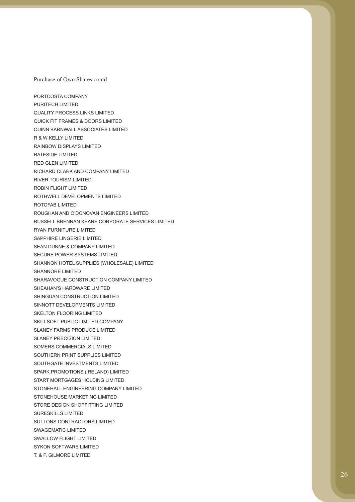PORTCOSTA COMPANY PURITECH LIMITED QUALITY PROCESS LINKS LIMITED QUICK FIT FRAMES & DOORS LIMITED QUINN BARNWALL ASSOCIATES LIMITED R & W KELLY LIMITED RAINBOW DISPLAYS LIMITED RATESIDE LIMITED RED GLEN LIMITED RICHARD CLARK AND COMPANY LIMITED RIVER TOURISM LIMITED ROBIN FLIGHT LIMITED ROTHWELL DEVELOPMENTS LIMITED ROTOFAB LIMITED ROUGHAN AND O'DONOVAN ENGINEERS LIMITED RUSSELL BRENNAN KEANE CORPORATE SERVICES LIMITED RYAN FURNITURE LIMITED SAPPHIRE LINGERIE LIMITED SEAN DUNNE & COMPANY LIMITED SECURE POWER SYSTEMS LIMITED SHANNON HOTEL SUPPLIES (WHOLESALE) LIMITED SHANNORE LIMITED SHARAVOGUE CONSTRUCTION COMPANY LIMITED SHEAHAN'S HARDWARE LIMITED SHINGUAN CONSTRUCTION LIMITED SINNOTT DEVELOPMENTS LIMITED SKELTON FLOORING LIMITED SKILLSOFT PUBLIC LIMITED COMPANY SLANEY FARMS PRODUCE LIMITED SLANEY PRECISION LIMITED SOMERS COMMERCIALS LIMITED SOUTHERN PRINT SUPPLIES LIMITED SOUTHGATE INVESTMENTS LIMITED SPARK PROMOTIONS (IRELAND) LIMITED START MORTGAGES HOLDING LIMITED STONEHALL ENGINEERING COMPANY LIMITED STONEHOUSE MARKETING LIMITED STORE DESIGN SHOPFITTING LIMITED SURESKILLS LIMITED SUTTONS CONTRACTORS LIMITED SWAGEMATIC LIMITED SWALLOW FLIGHT LIMITED SYKON SOFTWARE LIMITED T. & F. GILMORE LIMITED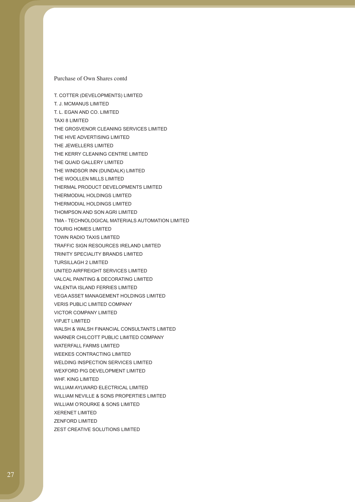T. COTTER (DEVELOPMENTS) LIMITED T. J. MCMANUS LIMITED T. L. EGAN AND CO. LIMITED TAXI 8 LIMITED THE GROSVENOR CLEANING SERVICES LIMITED THE HIVE ADVERTISING LIMITED THE JEWELLERS LIMITED THE KERRY CLEANING CENTRE LIMITED THE QUAID GALLERY LIMITED THE WINDSOR INN (DUNDALK) LIMITED THE WOOLLEN MILLS LIMITED THERMAL PRODUCT DEVELOPMENTS LIMITED THERMODIAL HOLDINGS LIMITED THERMODIAL HOLDINGS LIMITED THOMPSON AND SON AGRI LIMITED TMA - TECHNOLOGICAL MATERIALS AUTOMATION LIMITED TOURIG HOMES LIMITED TOWN RADIO TAXIS LIMITED TRAFFIC SIGN RESOURCES IRELAND LIMITED TRINITY SPECIALITY BRANDS LIMITED TURSILLAGH 2 LIMITED UNITED AIRFREIGHT SERVICES LIMITED VALCAL PAINTING & DECORATING LIMITED VALENTIA ISLAND FERRIES LIMITED VEGA ASSET MANAGEMENT HOLDINGS LIMITED VERIS PUBLIC LIMITED COMPANY VICTOR COMPANY LIMITED VIPJET LIMITED WALSH & WALSH FINANCIAL CONSULTANTS LIMITED WARNER CHILCOTT PUBLIC LIMITED COMPANY WATERFALL FARMS LIMITED WEEKES CONTRACTING LIMITED WELDING INSPECTION SERVICES LIMITED WEXFORD PIG DEVELOPMENT LIMITED WHF. KING LIMITED. WILLIAM AYLWARD ELECTRICAL LIMITED WILLIAM NEVILLE & SONS PROPERTIES LIMITED WILLIAM O'ROURKE & SONS LIMITED XERENET LIMITED ZENFORD LIMITED ZEST CREATIVE SOLUTIONS LIMITED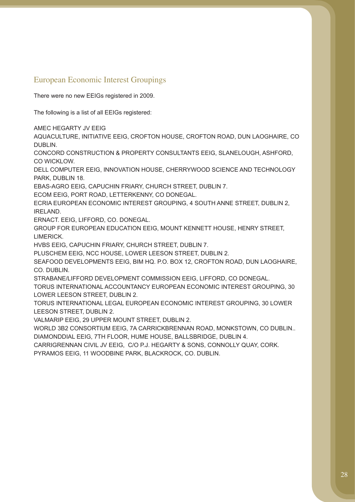## European Economic Interest Groupings

There were no new EEIGs registered in 2009.

The following is a list of all EEIGs registered:

AMEC HEGARTY JV EEIG

AQUACULTURE, INITIATIVE EEIG, CROFTON HOUSE, CROFTON ROAD, DUN LAOGHAIRE, CO DUBLIN.

CONCORD CONSTRUCTION & PROPERTY CONSULTANTS EEIG, SLANELOUGH, ASHFORD, CO WICKLOW.

DELL COMPUTER EEIG, INNOVATION HOUSE, CHERRYWOOD SCIENCE AND TECHNOLOGY PARK, DUBLIN 18.

EBAS-AGRO EEIG, CAPUCHIN FRIARY, CHURCH STREET, DUBLIN 7.

ECOM EEIG, PORT ROAD, LETTERKENNY, CO DONEGAL.

ECRIA EUROPEAN ECONOMIC INTEREST GROUPING, 4 SOUTH ANNE STREET, DUBLIN 2, IRELAND.

ERNACT. EEIG, LIFFORD, CO. DONEGAL.

GROUP FOR EUROPEAN EDUCATION EEIG, MOUNT KENNETT HOUSE, HENRY STREET, LIMERICK.

HVBS EEIG, CAPUCHIN FRIARY, CHURCH STREET, DUBLIN 7.

PLUSCHEM EEIG, NCC HOUSE, LOWER LEESON STREET, DUBLIN 2.

SEAFOOD DEVELOPMENTS EEIG, BIM HQ. P.O. BOX 12, CROFTON ROAD, DUN LAOGHAIRE, CO. DUBLIN.

STRABANE/LIFFORD DEVELOPMENT COMMISSION EEIG, LIFFORD, CO DONEGAL.

TORUS INTERNATIONAL ACCOUNTANCY EUROPEAN ECONOMIC INTEREST GROUPING, 30 LOWER LEESON STREET, DUBLIN 2.

TORUS INTERNATIONAL LEGAL EUROPEAN ECONOMIC INTEREST GROUPING, 30 LOWER LEESON STREET, DUBLIN 2.

VALMARIP EEIG, 29 UPPER MOUNT STREET, DUBLIN 2.

WORLD 3B2 CONSORTIUM EEIG, 7A CARRICKBRENNAN ROAD, MONKSTOWN, CO DUBLIN.. DIAMONDDIAL EEIG, 7TH FLOOR, HUME HOUSE, BALLSBRIDGE, DUBLIN 4.

CARRIGRENNAN CIVIL JV EEIG, C/O P.J. HEGARTY & SONS, CONNOLLY QUAY, CORK.

PYRAMOS EEIG, 11 WOODBINE PARK, BLACKROCK, CO. DUBLIN.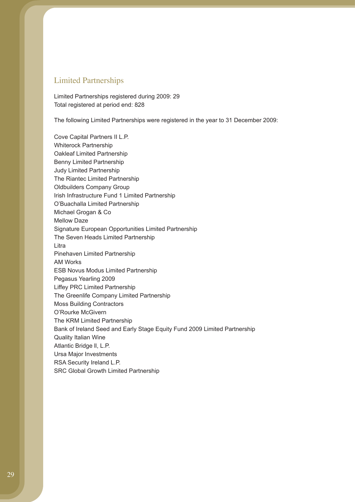### Limited Partnerships

Limited Partnerships registered during 2009: 29 Total registered at period end: 828

The following Limited Partnerships were registered in the year to 31 December 2009:

Cove Capital Partners II L.P. Whiterock Partnership Oakleaf Limited Partnership Benny Limited Partnership Judy Limited Partnership The Riantec Limited Partnership Oldbuilders Company Group Irish Infrastructure Fund 1 Limited Partnership O'Buachalla Limited Partnership Michael Grogan & Co Mellow Daze Signature European Opportunities Limited Partnership The Seven Heads Limited Partnership Litra Pinehaven Limited Partnership AM Works ESB Novus Modus Limited Partnership Pegasus Yearling 2009 Liffey PRC Limited Partnership The Greenlife Company Limited Partnership Moss Building Contractors O'Rourke McGivern The KRM Limited Partnership Bank of Ireland Seed and Early Stage Equity Fund 2009 Limited Partnership Quality Italian Wine Atlantic Bridge ll, L.P. Ursa Major Investments RSA Security Ireland L.P. SRC Global Growth Limited Partnership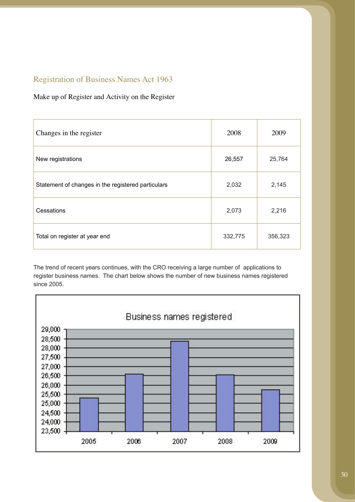## Registration of Business Names Act 1963

### Make up of Register and Activity on the Register

| Changes in the register                            | 2008    | 2009    |
|----------------------------------------------------|---------|---------|
| New registrations                                  | 26,557  | 25,764  |
| Statement of changes in the registered particulars | 2,032   | 2,145   |
| Cessations                                         | 2,073   | 2,216   |
| Total on register at year end                      | 332,775 | 356,323 |

The trend of recent years continues, with the CRO receiving a large number of applications to register business names. The chart below shows the number of new business names registered since 2005.

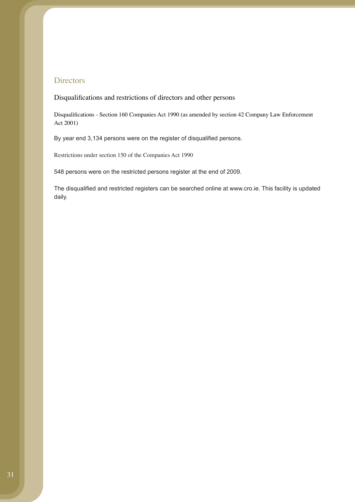### **Directors**

### Disqualifications and restrictions of directors and other persons

Disqualifications - Section 160 Companies Act 1990 (as amended by section 42 Company Law Enforcement Act 2001)

By year end 3,134 persons were on the register of disqualified persons.

Restrictions under section 150 of the Companies Act 1990

548 persons were on the restricted persons register at the end of 2009.

The disqualified and restricted registers can be searched online at www.cro.ie. This facility is updated daily.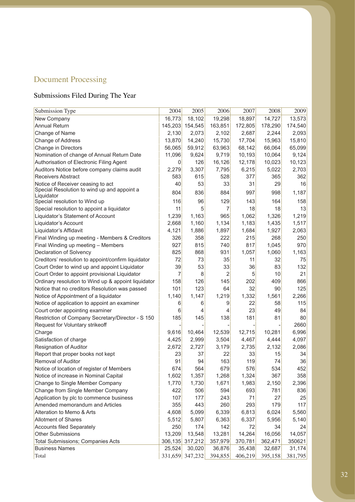# Document Processing

# Submissions Filed During The Year

| Submission Type                                     | 2004    | 2005            | 2006    | 2007    | 2008    | 2009    |
|-----------------------------------------------------|---------|-----------------|---------|---------|---------|---------|
| New Company                                         | 16,773  | 18,102          | 19,298  | 18,897  | 14,727  | 13,573  |
| <b>Annual Return</b>                                | 145,203 | 154,545         | 163,851 | 172,805 | 178,290 | 174,540 |
| Change of Name                                      | 2,130   | 2,073           | 2,102   | 2,687   | 2,244   | 2,093   |
| Change of Address                                   | 13,870  | 14,240          | 15,730  | 17,704  | 15,963  | 15,810  |
| Change in Directors                                 | 56,065  | 59,912          | 63,963  | 68,142  | 66,064  | 65,099  |
| Nomination of change of Annual Return Date          | 11,096  | 9,624           | 9,719   | 10,193  | 10,064  | 9,124   |
| Authorisation of Electronic Filing Agent            | 0       | 126             | 16,126  | 12,178  | 10,023  | 10,123  |
| Auditors Notice before company claims audit         | 2,279   | 3,307           | 7,795   | 6,215   | 5,022   | 2,703   |
| <b>Receivers Abstract</b>                           | 583     | 615             | 528     | 377     | 365     | 362     |
| Notice of Receiver ceasing to act                   | 40      | 53              | 33      | 31      | 29      | 16      |
| Special Resolution to wind up and appoint a         | 804     | 836             | 884     | 997     | 998     | 1,187   |
| Liquidator                                          |         |                 |         |         |         |         |
| Special resolution to Wind up                       | 116     | 96              | 129     | 143     | 164     | 158     |
| Special resolution to appoint a liquidator          | 11      | 5               | 7       | 18      | 18      | 13      |
| Liquidator's Statement of Account                   | 1,239   | 1,163           | 965     | 1,062   | 1,326   | 1,219   |
| Liquidator's Account                                | 2,668   | 1,160           | 1,134   | 1,183   | 1,435   | 1,517   |
| Liquidator's Affidavit                              | 4,121   | 1,886           | 1,897   | 1,684   | 1,927   | 2,063   |
| Final Winding up meeting - Members & Creditors      | 326     | 358             | 222     | 215     | 268     | 250     |
| Final Winding up meeting - Members                  | 927     | 815             | 740     | 817     | 1,045   | 970     |
| Declaration of Solvency                             | 825     | 868             | 931     | 1,057   | 1,060   | 1,163   |
| Creditors' resolution to appoint/confirm liquidator | 72      | 73              | 35      | 11      | 32      | 75      |
| Court Order to wind up and appoint Liquidator       | 39      | 53              | 33      | 36      | 83      | 132     |
| Court Order to appoint provisional Liquidator       | 7       | 8               | 2       | 5       | 10      | 21      |
| Ordinary resolution to Wind up & appoint liquidator | 158     | 126             | 145     | 202     | 409     | 866     |
| Notice that no creditors Resolution was passed      | 101     | 123             | 64      | 32      | 90      | 125     |
| Notice of Appointment of a liquidator               | 1,140   | 1,147           | 1,219   | 1,332   | 1,561   | 2,266   |
| Notice of application to appoint an examiner        | 6       | 6               | 9       | 22      | 58      | 115     |
| Court order appointing examiner                     | 6       | 4               | 4       | 23      | 49      | 84      |
| Restriction of Company Secretary/Director - S 150   | 185     | 145             | 138     | 181     | 81      | 80      |
| Request for Voluntary strikeoff                     |         |                 |         |         |         | 2660    |
| Charge                                              | 9,616   | 10,464          | 12,539  | 12,715  | 10,281  | 6,996   |
| Satisfaction of charge                              | 4,425   | 2,999           | 3,504   | 4,467   | 4,444   | 4,097   |
| Resignation of Auditor                              | 2,672   | 2,727           | 3,179   | 2,735   | 2,132   | 2,086   |
| Report that proper books not kept                   | 23      | 37              | 22      | 33      | 15      | 34      |
| <b>Removal of Auditor</b>                           | 91      | 94              | 163     | 119     | 74      | 36      |
| Notice of location of register of Members           | 674     | 564             | 679     | 576     | 534     | 452     |
| Notice of increase in Nominal Capital               | 1,602   | 1,357           | 1,268   | 1,324   | 367     | 358     |
| Change to Single Member Company                     | 1,770   | 1,730           | 1,671   | 1,983   | 2,150   | 2,396   |
| Change from Single Member Company                   | 422     | 506             | 594     | 693     | 781     | 836     |
| Application by plc to commence business             | 107     | 177             | 243     | 71      | 27      | 25      |
| Amended memorandum and Articles                     | 355     | 443             | 260     | 293     | 179     | 117     |
| Alteration to Memo & Arts                           | 4,608   | 5,099           | 6,339   | 6,813   | 6,024   | 5,560   |
| <b>Allotment of Shares</b>                          | 5,512   | 5,807           | 6,363   | 6,337   | 5,956   | 5,140   |
| <b>Accounts filed Separately</b>                    | 250     | 174             | 142     | 72      | 34      | 24      |
| <b>Other Submissions</b>                            | 13,209  | 13,548          | 13,281  | 14,264  | 16,056  | 14,057  |
| <b>Total Submissions; Companies Acts</b>            | 306,135 | 317,212         | 357,979 | 370,781 | 362,471 | 350621  |
| <b>Business Names</b>                               | 25,524  | 30,020          | 36,876  | 35,438  | 32,687  | 31,174  |
| Total                                               |         | 331,659 347,232 | 394,855 | 406,219 | 395,158 | 381,795 |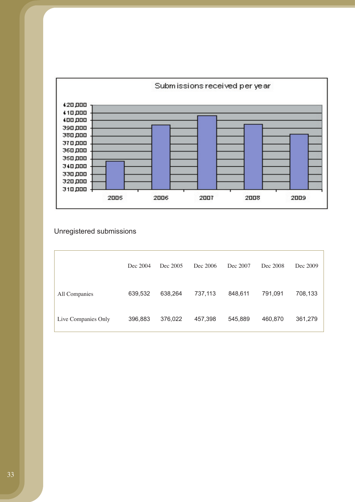

## Unregistered submissions

|                     | Dec 2004 | Dec 2005 | Dec 2006 | Dec 2007 | Dec 2008 | Dec 2009 |
|---------------------|----------|----------|----------|----------|----------|----------|
| All Companies       | 639,532  | 638,264  | 737,113  | 848,611  | 791,091  | 708,133  |
| Live Companies Only | 396,883  | 376,022  | 457,398  | 545,889  | 460,870  | 361,279  |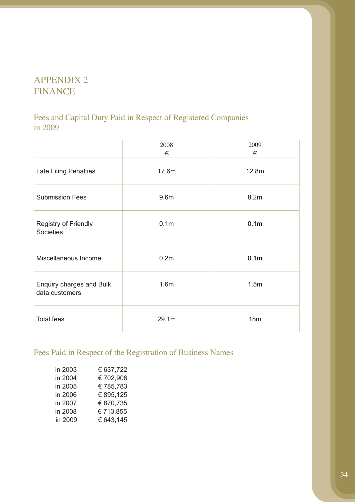# APPENDIX 2 FINANCE

Fees and Capital Duty Paid in Respect of Registered Companies in 2009

|                                            | 2008<br>€        | 2009<br>€        |
|--------------------------------------------|------------------|------------------|
| Late Filing Penalties                      | 17.6m            | 12.8m            |
| <b>Submission Fees</b>                     | 9.6m             | 8.2m             |
| Registry of Friendly<br>Societies          | 0.1 <sub>m</sub> | 0.1 <sub>m</sub> |
| Miscellaneous Income                       | 0.2 <sub>m</sub> | 0.1 <sub>m</sub> |
| Enquiry charges and Bulk<br>data customers | 1.6 <sub>m</sub> | 1.5m             |
| <b>Total fees</b>                          | 29.1m            | 18m              |

# Fees Paid in Respect of the Registration of Business Names

| in 2003 | € 637,722 |
|---------|-----------|
| in 2004 | €702,906  |
| in 2005 | €785,783  |
| in 2006 | € 895,125 |
| in 2007 | € 870,735 |
| in 2008 | €713,855  |
| in 2009 | € 643,145 |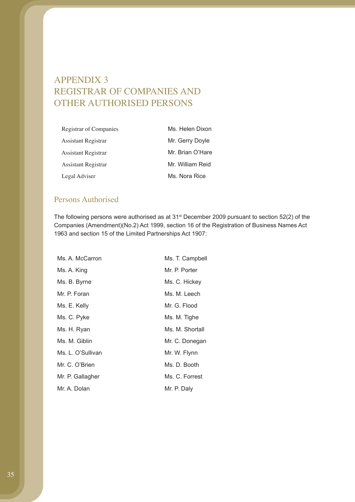# APPENDIX 3 REGISTRAR OF COMPANIES AND OTHER AUTHORISED PERSONS

| Registrar of Companies     | Ms. Helen Dixon  |
|----------------------------|------------------|
| <b>Assistant Registrar</b> | Mr. Gerry Doyle  |
| <b>Assistant Registrar</b> | Mr. Brian O'Hare |
| Assistant Registrar        | Mr. William Reid |
| Legal Adviser              | Ms. Nora Rice    |

### Persons Authorised

The following persons were authorised as at 31<sup>st</sup> December 2009 pursuant to section 52(2) of the Companies (Amendment)(No.2) Act 1999, section 16 of the Registration of Business Names Act 1963 and section 15 of the Limited Partnerships Act 1907:

| Ms. A. McCarron   | Ms. T. Campbell |
|-------------------|-----------------|
| Ms. A. King       | Mr. P. Porter   |
| Ms. B. Byrne      | Ms. C. Hickey   |
| Mr. P. Foran      | Ms. M. Leech    |
| Ms. E. Kelly      | Mr. G. Flood    |
| Ms. C. Pyke       | Ms. M. Tighe    |
| Ms. H. Ryan       | Ms. M. Shortall |
| Ms. M. Giblin     | Mr. C. Donegan  |
| Ms. L. O'Sullivan | Mr. W. Flynn    |
| Mr. C. O'Brien    | Ms. D. Booth    |
| Mr. P. Gallagher  | Ms. C. Forrest  |
| Mr. A. Dolan      | Mr. P. Daly     |